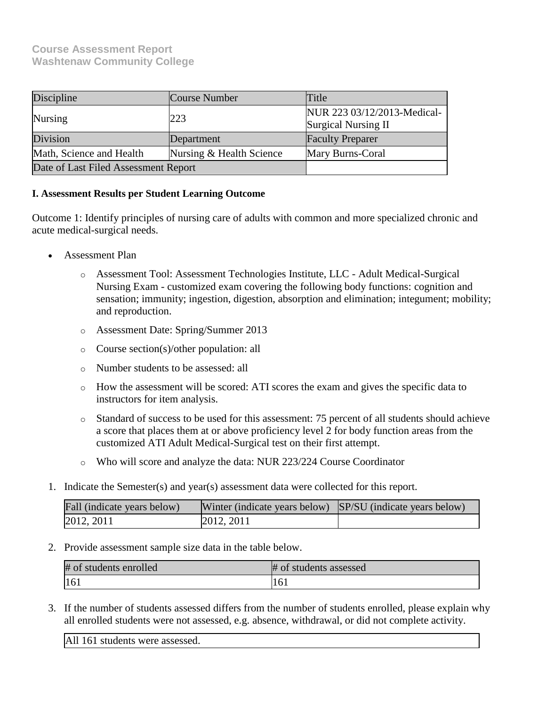## **Course Assessment Report Washtenaw Community College**

| Discipline                           | Course Number            | Title                                                     |
|--------------------------------------|--------------------------|-----------------------------------------------------------|
| Nursing                              | 223                      | NUR 223 03/12/2013-Medical-<br><b>Surgical Nursing II</b> |
| Division                             | Department               | <b>Faculty Preparer</b>                                   |
| Math, Science and Health             | Nursing & Health Science | Mary Burns-Coral                                          |
| Date of Last Filed Assessment Report |                          |                                                           |

## **I. Assessment Results per Student Learning Outcome**

Outcome 1: Identify principles of nursing care of adults with common and more specialized chronic and acute medical-surgical needs.

- Assessment Plan
	- o Assessment Tool: Assessment Technologies Institute, LLC Adult Medical-Surgical Nursing Exam - customized exam covering the following body functions: cognition and sensation; immunity; ingestion, digestion, absorption and elimination; integument; mobility; and reproduction.
	- o Assessment Date: Spring/Summer 2013
	- o Course section(s)/other population: all
	- o Number students to be assessed: all
	- o How the assessment will be scored: ATI scores the exam and gives the specific data to instructors for item analysis.
	- o Standard of success to be used for this assessment: 75 percent of all students should achieve a score that places them at or above proficiency level 2 for body function areas from the customized ATI Adult Medical-Surgical test on their first attempt.
	- o Who will score and analyze the data: NUR 223/224 Course Coordinator
- 1. Indicate the Semester(s) and year(s) assessment data were collected for this report.

| Fall (indicate years below) | Winter (indicate years below) SP/SU (indicate years below) |  |
|-----------------------------|------------------------------------------------------------|--|
| 2012, 2011                  | 2012, 2011                                                 |  |

2. Provide assessment sample size data in the table below.

| # of students enrolled | # of students assessed |
|------------------------|------------------------|
| 161                    | 161                    |

3. If the number of students assessed differs from the number of students enrolled, please explain why all enrolled students were not assessed, e.g. absence, withdrawal, or did not complete activity.

All 161 students were assessed.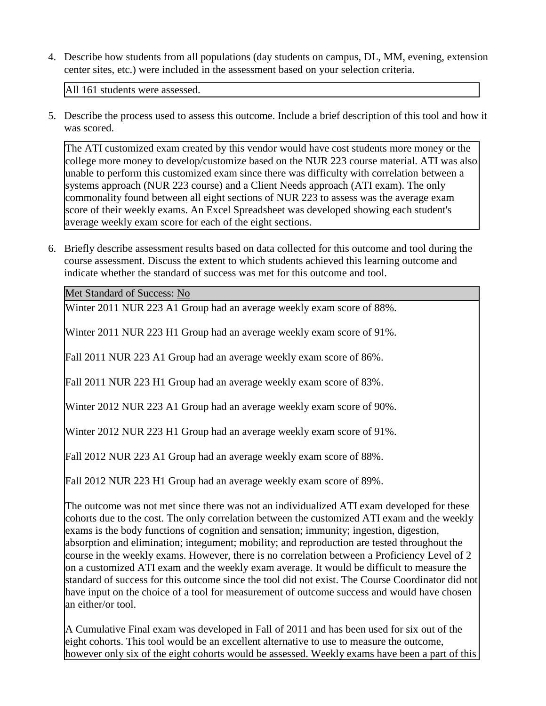4. Describe how students from all populations (day students on campus, DL, MM, evening, extension center sites, etc.) were included in the assessment based on your selection criteria.

All 161 students were assessed.

5. Describe the process used to assess this outcome. Include a brief description of this tool and how it was scored.

The ATI customized exam created by this vendor would have cost students more money or the college more money to develop/customize based on the NUR 223 course material. ATI was also unable to perform this customized exam since there was difficulty with correlation between a systems approach (NUR 223 course) and a Client Needs approach (ATI exam). The only commonality found between all eight sections of NUR 223 to assess was the average exam score of their weekly exams. An Excel Spreadsheet was developed showing each student's average weekly exam score for each of the eight sections.

6. Briefly describe assessment results based on data collected for this outcome and tool during the course assessment. Discuss the extent to which students achieved this learning outcome and indicate whether the standard of success was met for this outcome and tool.

Met Standard of Success: No

Winter 2011 NUR 223 A1 Group had an average weekly exam score of 88%.

Winter 2011 NUR 223 H1 Group had an average weekly exam score of 91%.

Fall 2011 NUR 223 A1 Group had an average weekly exam score of 86%.

Fall 2011 NUR 223 H1 Group had an average weekly exam score of 83%.

Winter 2012 NUR 223 A1 Group had an average weekly exam score of 90%.

Winter 2012 NUR 223 H1 Group had an average weekly exam score of 91%.

Fall 2012 NUR 223 A1 Group had an average weekly exam score of 88%.

Fall 2012 NUR 223 H1 Group had an average weekly exam score of 89%.

The outcome was not met since there was not an individualized ATI exam developed for these cohorts due to the cost. The only correlation between the customized ATI exam and the weekly exams is the body functions of cognition and sensation; immunity; ingestion, digestion, absorption and elimination; integument; mobility; and reproduction are tested throughout the course in the weekly exams. However, there is no correlation between a Proficiency Level of 2 on a customized ATI exam and the weekly exam average. It would be difficult to measure the standard of success for this outcome since the tool did not exist. The Course Coordinator did not have input on the choice of a tool for measurement of outcome success and would have chosen an either/or tool.

A Cumulative Final exam was developed in Fall of 2011 and has been used for six out of the eight cohorts. This tool would be an excellent alternative to use to measure the outcome, however only six of the eight cohorts would be assessed. Weekly exams have been a part of this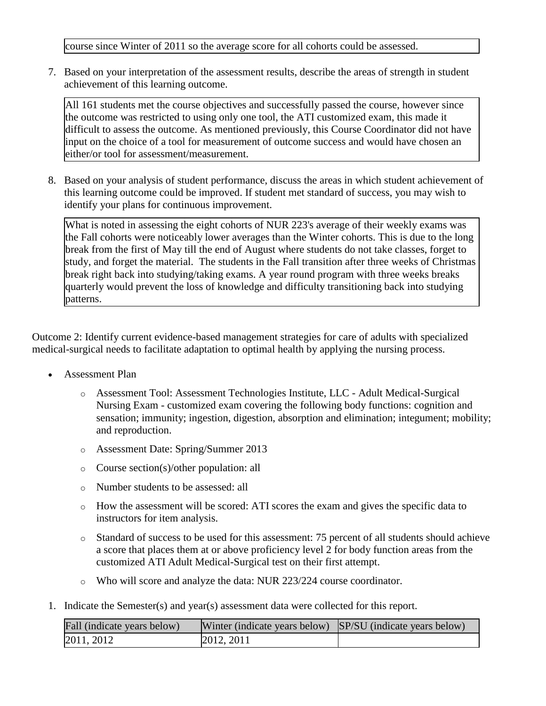course since Winter of 2011 so the average score for all cohorts could be assessed.

7. Based on your interpretation of the assessment results, describe the areas of strength in student achievement of this learning outcome.

All 161 students met the course objectives and successfully passed the course, however since the outcome was restricted to using only one tool, the ATI customized exam, this made it difficult to assess the outcome. As mentioned previously, this Course Coordinator did not have input on the choice of a tool for measurement of outcome success and would have chosen an either/or tool for assessment/measurement.

8. Based on your analysis of student performance, discuss the areas in which student achievement of this learning outcome could be improved. If student met standard of success, you may wish to identify your plans for continuous improvement.

What is noted in assessing the eight cohorts of NUR 223's average of their weekly exams was the Fall cohorts were noticeably lower averages than the Winter cohorts. This is due to the long break from the first of May till the end of August where students do not take classes, forget to study, and forget the material. The students in the Fall transition after three weeks of Christmas break right back into studying/taking exams. A year round program with three weeks breaks quarterly would prevent the loss of knowledge and difficulty transitioning back into studying patterns.

Outcome 2: Identify current evidence-based management strategies for care of adults with specialized medical-surgical needs to facilitate adaptation to optimal health by applying the nursing process.

- Assessment Plan
	- o Assessment Tool: Assessment Technologies Institute, LLC Adult Medical-Surgical Nursing Exam - customized exam covering the following body functions: cognition and sensation; immunity; ingestion, digestion, absorption and elimination; integument; mobility; and reproduction.
	- o Assessment Date: Spring/Summer 2013
	- o Course section(s)/other population: all
	- o Number students to be assessed: all
	- $\circ$  How the assessment will be scored: ATI scores the exam and gives the specific data to instructors for item analysis.
	- o Standard of success to be used for this assessment: 75 percent of all students should achieve a score that places them at or above proficiency level 2 for body function areas from the customized ATI Adult Medical-Surgical test on their first attempt.
	- o Who will score and analyze the data: NUR 223/224 course coordinator.
- 1. Indicate the Semester(s) and year(s) assessment data were collected for this report.

| Fall (indicate years below) | Winter (indicate years below) SP/SU (indicate years below) |  |
|-----------------------------|------------------------------------------------------------|--|
| 2011, 2012                  | 2012, 2011                                                 |  |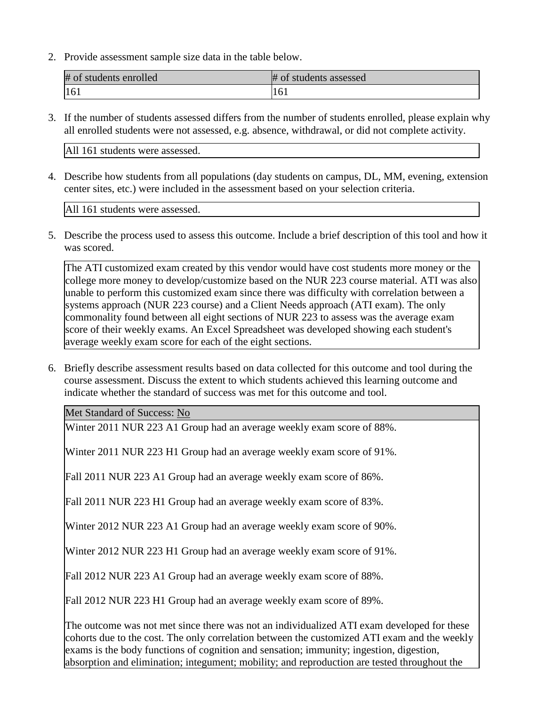2. Provide assessment sample size data in the table below.

| # of students enrolled | # of students assessed |
|------------------------|------------------------|
| 161                    | 161                    |

3. If the number of students assessed differs from the number of students enrolled, please explain why all enrolled students were not assessed, e.g. absence, withdrawal, or did not complete activity.

All 161 students were assessed.

4. Describe how students from all populations (day students on campus, DL, MM, evening, extension center sites, etc.) were included in the assessment based on your selection criteria.

All 161 students were assessed.

5. Describe the process used to assess this outcome. Include a brief description of this tool and how it was scored.

The ATI customized exam created by this vendor would have cost students more money or the college more money to develop/customize based on the NUR 223 course material. ATI was also unable to perform this customized exam since there was difficulty with correlation between a systems approach (NUR 223 course) and a Client Needs approach (ATI exam). The only commonality found between all eight sections of NUR 223 to assess was the average exam score of their weekly exams. An Excel Spreadsheet was developed showing each student's average weekly exam score for each of the eight sections.

6. Briefly describe assessment results based on data collected for this outcome and tool during the course assessment. Discuss the extent to which students achieved this learning outcome and indicate whether the standard of success was met for this outcome and tool.

Met Standard of Success: No

Winter 2011 NUR 223 A1 Group had an average weekly exam score of 88%.

Winter 2011 NUR 223 H1 Group had an average weekly exam score of 91%.

Fall 2011 NUR 223 A1 Group had an average weekly exam score of 86%.

Fall 2011 NUR 223 H1 Group had an average weekly exam score of 83%.

Winter 2012 NUR 223 A1 Group had an average weekly exam score of 90%.

Winter 2012 NUR 223 H1 Group had an average weekly exam score of 91%.

Fall 2012 NUR 223 A1 Group had an average weekly exam score of 88%.

Fall 2012 NUR 223 H1 Group had an average weekly exam score of 89%.

The outcome was not met since there was not an individualized ATI exam developed for these cohorts due to the cost. The only correlation between the customized ATI exam and the weekly exams is the body functions of cognition and sensation; immunity; ingestion, digestion, absorption and elimination; integument; mobility; and reproduction are tested throughout the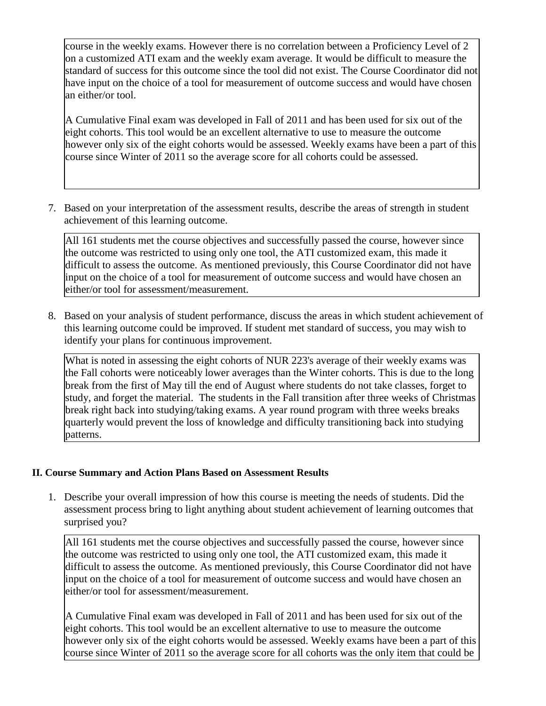course in the weekly exams. However there is no correlation between a Proficiency Level of 2 on a customized ATI exam and the weekly exam average. It would be difficult to measure the standard of success for this outcome since the tool did not exist. The Course Coordinator did not have input on the choice of a tool for measurement of outcome success and would have chosen an either/or tool.

A Cumulative Final exam was developed in Fall of 2011 and has been used for six out of the eight cohorts. This tool would be an excellent alternative to use to measure the outcome however only six of the eight cohorts would be assessed. Weekly exams have been a part of this course since Winter of 2011 so the average score for all cohorts could be assessed.

7. Based on your interpretation of the assessment results, describe the areas of strength in student achievement of this learning outcome.

All 161 students met the course objectives and successfully passed the course, however since the outcome was restricted to using only one tool, the ATI customized exam, this made it difficult to assess the outcome. As mentioned previously, this Course Coordinator did not have input on the choice of a tool for measurement of outcome success and would have chosen an either/or tool for assessment/measurement.

8. Based on your analysis of student performance, discuss the areas in which student achievement of this learning outcome could be improved. If student met standard of success, you may wish to identify your plans for continuous improvement.

What is noted in assessing the eight cohorts of NUR 223's average of their weekly exams was the Fall cohorts were noticeably lower averages than the Winter cohorts. This is due to the long break from the first of May till the end of August where students do not take classes, forget to study, and forget the material. The students in the Fall transition after three weeks of Christmas break right back into studying/taking exams. A year round program with three weeks breaks quarterly would prevent the loss of knowledge and difficulty transitioning back into studying patterns.

## **II. Course Summary and Action Plans Based on Assessment Results**

1. Describe your overall impression of how this course is meeting the needs of students. Did the assessment process bring to light anything about student achievement of learning outcomes that surprised you?

All 161 students met the course objectives and successfully passed the course, however since the outcome was restricted to using only one tool, the ATI customized exam, this made it difficult to assess the outcome. As mentioned previously, this Course Coordinator did not have input on the choice of a tool for measurement of outcome success and would have chosen an either/or tool for assessment/measurement.

A Cumulative Final exam was developed in Fall of 2011 and has been used for six out of the eight cohorts. This tool would be an excellent alternative to use to measure the outcome however only six of the eight cohorts would be assessed. Weekly exams have been a part of this course since Winter of 2011 so the average score for all cohorts was the only item that could be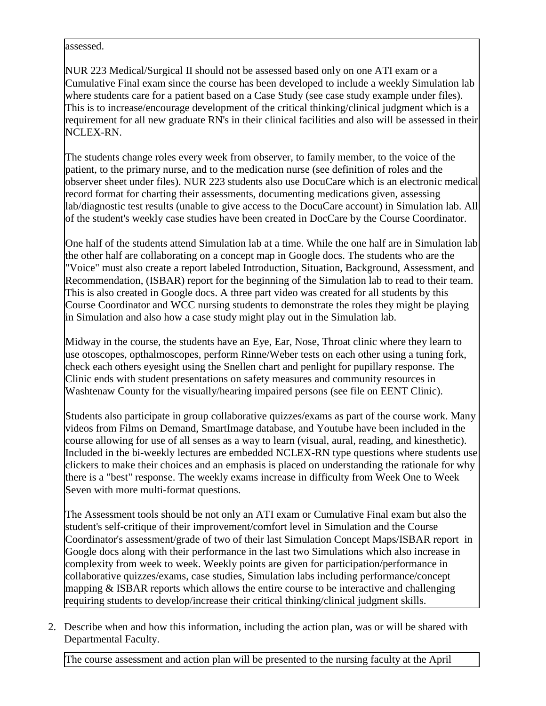assessed.

NUR 223 Medical/Surgical II should not be assessed based only on one ATI exam or a Cumulative Final exam since the course has been developed to include a weekly Simulation lab where students care for a patient based on a Case Study (see case study example under files). This is to increase/encourage development of the critical thinking/clinical judgment which is a requirement for all new graduate RN's in their clinical facilities and also will be assessed in their NCLEX-RN.

The students change roles every week from observer, to family member, to the voice of the patient, to the primary nurse, and to the medication nurse (see definition of roles and the observer sheet under files). NUR 223 students also use DocuCare which is an electronic medical record format for charting their assessments, documenting medications given, assessing lab/diagnostic test results (unable to give access to the DocuCare account) in Simulation lab. All of the student's weekly case studies have been created in DocCare by the Course Coordinator.

One half of the students attend Simulation lab at a time. While the one half are in Simulation lab the other half are collaborating on a concept map in Google docs. The students who are the "Voice" must also create a report labeled Introduction, Situation, Background, Assessment, and Recommendation, (ISBAR) report for the beginning of the Simulation lab to read to their team. This is also created in Google docs. A three part video was created for all students by this Course Coordinator and WCC nursing students to demonstrate the roles they might be playing in Simulation and also how a case study might play out in the Simulation lab.

Midway in the course, the students have an Eye, Ear, Nose, Throat clinic where they learn to use otoscopes, opthalmoscopes, perform Rinne/Weber tests on each other using a tuning fork, check each others eyesight using the Snellen chart and penlight for pupillary response. The Clinic ends with student presentations on safety measures and community resources in Washtenaw County for the visually/hearing impaired persons (see file on EENT Clinic).

Students also participate in group collaborative quizzes/exams as part of the course work. Many videos from Films on Demand, SmartImage database, and Youtube have been included in the course allowing for use of all senses as a way to learn (visual, aural, reading, and kinesthetic). Included in the bi-weekly lectures are embedded NCLEX-RN type questions where students use clickers to make their choices and an emphasis is placed on understanding the rationale for why there is a "best" response. The weekly exams increase in difficulty from Week One to Week Seven with more multi-format questions.

The Assessment tools should be not only an ATI exam or Cumulative Final exam but also the student's self-critique of their improvement/comfort level in Simulation and the Course Coordinator's assessment/grade of two of their last Simulation Concept Maps/ISBAR report in Google docs along with their performance in the last two Simulations which also increase in complexity from week to week. Weekly points are given for participation/performance in collaborative quizzes/exams, case studies, Simulation labs including performance/concept mapping & ISBAR reports which allows the entire course to be interactive and challenging requiring students to develop/increase their critical thinking/clinical judgment skills.

2. Describe when and how this information, including the action plan, was or will be shared with Departmental Faculty.

The course assessment and action plan will be presented to the nursing faculty at the April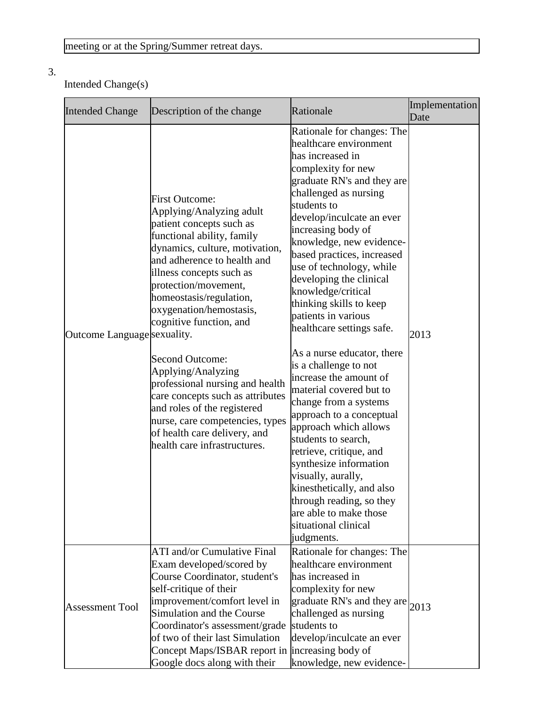# 3.

# Intended Change(s)

| <b>Intended Change</b>      | Description of the change                                                                                                                                                                                                                                                                                                                                                                                                                                                                                                                                                  | Rationale                                                                                                                                                                                                                                                                                                                                                                                                                                                                                                                                                                                                                                                                                                                                                                                                                                                          | Implementation<br>Date |
|-----------------------------|----------------------------------------------------------------------------------------------------------------------------------------------------------------------------------------------------------------------------------------------------------------------------------------------------------------------------------------------------------------------------------------------------------------------------------------------------------------------------------------------------------------------------------------------------------------------------|--------------------------------------------------------------------------------------------------------------------------------------------------------------------------------------------------------------------------------------------------------------------------------------------------------------------------------------------------------------------------------------------------------------------------------------------------------------------------------------------------------------------------------------------------------------------------------------------------------------------------------------------------------------------------------------------------------------------------------------------------------------------------------------------------------------------------------------------------------------------|------------------------|
| Outcome Language sexuality. | <b>First Outcome:</b><br>Applying/Analyzing adult<br>patient concepts such as<br>functional ability, family<br>dynamics, culture, motivation,<br>and adherence to health and<br>illness concepts such as<br>protection/movement,<br>homeostasis/regulation,<br>oxygenation/hemostasis,<br>cognitive function, and<br><b>Second Outcome:</b><br>Applying/Analyzing<br>professional nursing and health<br>care concepts such as attributes<br>and roles of the registered<br>nurse, care competencies, types<br>of health care delivery, and<br>health care infrastructures. | Rationale for changes: The<br>healthcare environment<br>has increased in<br>complexity for new<br>graduate RN's and they are<br>challenged as nursing<br>students to<br>develop/inculcate an ever<br>increasing body of<br>knowledge, new evidence-<br>based practices, increased<br>use of technology, while<br>developing the clinical<br>knowledge/critical<br>thinking skills to keep<br>patients in various<br>healthcare settings safe.<br>As a nurse educator, there<br>is a challenge to not<br>increase the amount of<br>material covered but to<br>change from a systems<br>approach to a conceptual<br>approach which allows<br>students to search,<br>retrieve, critique, and<br>synthesize information<br>visually, aurally,<br>kinesthetically, and also<br>through reading, so they<br>are able to make those<br>situational clinical<br>judgments. | 2013                   |
| <b>Assessment Tool</b>      | <b>ATI</b> and/or Cumulative Final<br>Exam developed/scored by<br>Course Coordinator, student's<br>self-critique of their<br>improvement/comfort level in<br>Simulation and the Course<br>Coordinator's assessment/grade<br>of two of their last Simulation<br>Concept Maps/ISBAR report in<br>Google docs along with their                                                                                                                                                                                                                                                | Rationale for changes: The<br>healthcare environment<br>has increased in<br>complexity for new<br>$\left \right $ graduate RN's and they are $\left _{2013}\right $<br>challenged as nursing<br>students to<br>develop/inculcate an ever<br>increasing body of<br>knowledge, new evidence-                                                                                                                                                                                                                                                                                                                                                                                                                                                                                                                                                                         |                        |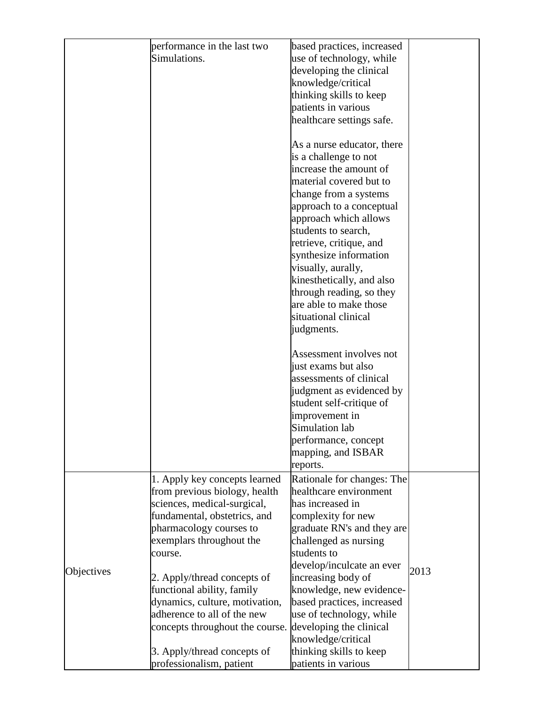|            | performance in the last two     | based practices, increased                     |      |
|------------|---------------------------------|------------------------------------------------|------|
|            | Simulations.                    | use of technology, while                       |      |
|            |                                 | developing the clinical                        |      |
|            |                                 | knowledge/critical                             |      |
|            |                                 | thinking skills to keep                        |      |
|            |                                 | patients in various                            |      |
|            |                                 | healthcare settings safe.                      |      |
|            |                                 |                                                |      |
|            |                                 | As a nurse educator, there                     |      |
|            |                                 | is a challenge to not                          |      |
|            |                                 | increase the amount of                         |      |
|            |                                 | material covered but to                        |      |
|            |                                 | change from a systems                          |      |
|            |                                 | approach to a conceptual                       |      |
|            |                                 | approach which allows                          |      |
|            |                                 | students to search,                            |      |
|            |                                 | retrieve, critique, and                        |      |
|            |                                 | synthesize information                         |      |
|            |                                 | visually, aurally,                             |      |
|            |                                 | kinesthetically, and also                      |      |
|            |                                 | through reading, so they                       |      |
|            |                                 | are able to make those                         |      |
|            |                                 | situational clinical                           |      |
|            |                                 | judgments.                                     |      |
|            |                                 | Assessment involves not                        |      |
|            |                                 |                                                |      |
|            |                                 | just exams but also<br>assessments of clinical |      |
|            |                                 | judgment as evidenced by                       |      |
|            |                                 |                                                |      |
|            |                                 | student self-critique of<br>improvement in     |      |
|            |                                 | Simulation lab                                 |      |
|            |                                 | performance, concept                           |      |
|            |                                 | mapping, and ISBAR                             |      |
|            |                                 | reports.                                       |      |
|            | 1. Apply key concepts learned   | Rationale for changes: The                     |      |
|            | from previous biology, health   | healthcare environment                         |      |
|            | sciences, medical-surgical,     | has increased in                               |      |
|            | fundamental, obstetrics, and    | complexity for new                             |      |
|            | pharmacology courses to         | graduate RN's and they are                     |      |
|            | exemplars throughout the        | challenged as nursing                          |      |
|            | course.                         | students to                                    |      |
|            |                                 | develop/inculcate an ever                      |      |
| Objectives | 2. Apply/thread concepts of     | increasing body of                             | 2013 |
|            | functional ability, family      | knowledge, new evidence-                       |      |
|            | dynamics, culture, motivation,  | based practices, increased                     |      |
|            | adherence to all of the new     | use of technology, while                       |      |
|            | concepts throughout the course. | developing the clinical                        |      |
|            |                                 | knowledge/critical                             |      |
|            | 3. Apply/thread concepts of     | thinking skills to keep                        |      |
|            | professionalism, patient        | patients in various                            |      |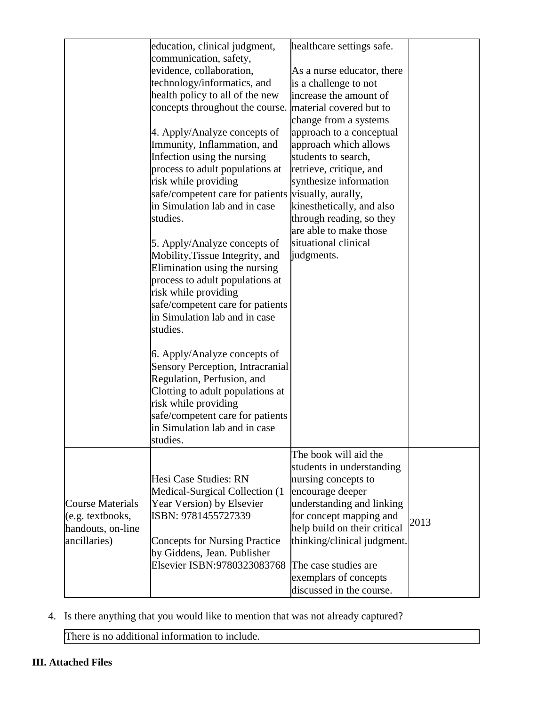| education, clinical judgment,<br>communication, safety,<br>evidence, collaboration,<br>technology/informatics, and<br>health policy to all of the new<br>concepts throughout the course.<br>4. Apply/Analyze concepts of<br>Immunity, Inflammation, and<br>Infection using the nursing<br>process to adult populations at<br>risk while providing<br>safe/competent care for patients<br>in Simulation lab and in case<br>studies.<br>5. Apply/Analyze concepts of<br>Mobility, Tissue Integrity, and<br>Elimination using the nursing<br>process to adult populations at<br>risk while providing<br>safe/competent care for patients<br>in Simulation lab and in case<br>studies.<br>6. Apply/Analyze concepts of<br>Regulation, Perfusion, and<br>Clotting to adult populations at<br>risk while providing<br>safe/competent care for patients<br>in Simulation lab and in case | healthcare settings safe.<br>As a nurse educator, there<br>is a challenge to not<br>increase the amount of<br>change from a systems<br>approach to a conceptual<br>approach which allows<br>students to search,<br>retrieve, critique, and<br>synthesize information<br>kinesthetically, and also<br>through reading, so they<br>are able to make those<br>situational clinical<br>judgments. |                                                                                   |
|-----------------------------------------------------------------------------------------------------------------------------------------------------------------------------------------------------------------------------------------------------------------------------------------------------------------------------------------------------------------------------------------------------------------------------------------------------------------------------------------------------------------------------------------------------------------------------------------------------------------------------------------------------------------------------------------------------------------------------------------------------------------------------------------------------------------------------------------------------------------------------------|-----------------------------------------------------------------------------------------------------------------------------------------------------------------------------------------------------------------------------------------------------------------------------------------------------------------------------------------------------------------------------------------------|-----------------------------------------------------------------------------------|
| Hesi Case Studies: RN<br>Medical-Surgical Collection (1<br>Year Version) by Elsevier<br>ISBN: 9781455727339<br><b>Concepts for Nursing Practice</b><br>by Giddens, Jean. Publisher<br>Elsevier ISBN:9780323083768                                                                                                                                                                                                                                                                                                                                                                                                                                                                                                                                                                                                                                                                 | The book will aid the<br>students in understanding<br>nursing concepts to<br>encourage deeper<br>understanding and linking<br>for concept mapping and<br>help build on their critical<br>thinking/clinical judgment.<br>The case studies are<br>exemplars of concepts<br>discussed in the course.                                                                                             | 2013                                                                              |
|                                                                                                                                                                                                                                                                                                                                                                                                                                                                                                                                                                                                                                                                                                                                                                                                                                                                                   | studies.                                                                                                                                                                                                                                                                                                                                                                                      | material covered but to<br>visually, aurally,<br>Sensory Perception, Intracranial |

4. Is there anything that you would like to mention that was not already captured?

There is no additional information to include.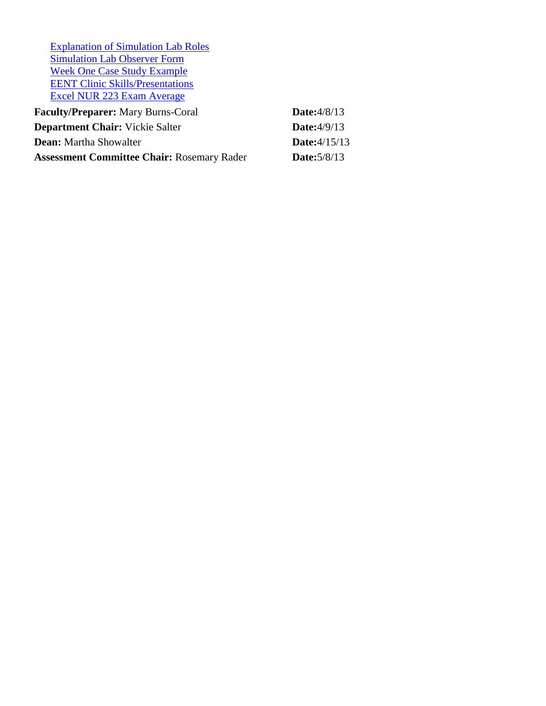[Explanation of Simulation Lab Roles](documents/Explanation%20of%20SIM%20lab%20roles-revised(1).docx) [Simulation Lab Observer Form](documents/SIM%20Lab%20Observer%20Form.pdf) [Week One Case Study Example](documents/Mr.%20WCC-HIV.pptx) [EENT Clinic Skills/Presentations](documents/EENT%20CLINIC%20SKILLS.docx) [Excel NUR 223 Exam Average](documents/NUR%20223%20201101-201209.xlsx)

| <b>Faculty/Preparer:</b> Mary Burns-Coral         | Date: $4/8/13$       |
|---------------------------------------------------|----------------------|
| <b>Department Chair:</b> Vickie Salter            | <b>Date:</b> 4/9/13  |
| <b>Dean:</b> Martha Showalter                     | <b>Date:</b> 4/15/13 |
| <b>Assessment Committee Chair: Rosemary Rader</b> | <b>Date:</b> 5/8/13  |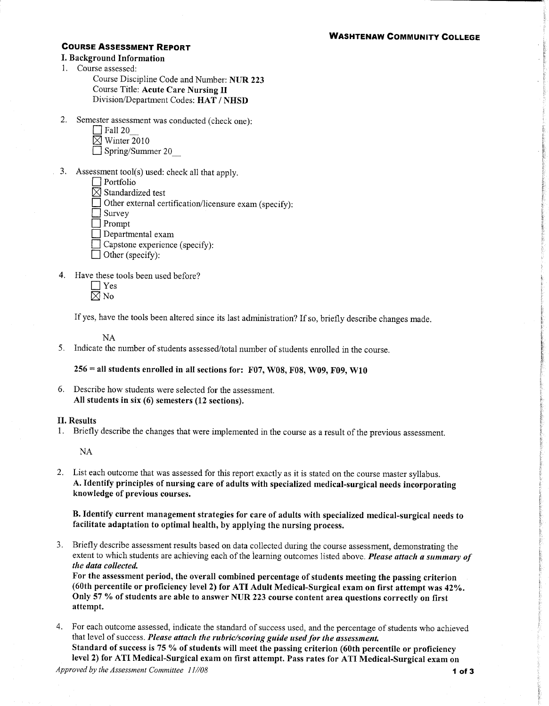### **WASHTENAW COMMUNITY COLLEGE**

#### **COURSE ASSESSMENT REPORT**

- I. Background Information
- 1. Course assessed:

| Course Discipline Code and Number: NUR 223 |  |
|--------------------------------------------|--|
| Course Title: Acute Care Nursing II        |  |
| Division/Department Codes: HAT / NHSD      |  |

 $2.$ Semester assessment was conducted (check one):

| Fall 20                 |  |
|-------------------------|--|
| $\boxtimes$ Winter 2010 |  |
| Spring/Summer 20        |  |

- 3. Assessment tool(s) used: check all that apply.
	- $\Box$  Portfolio

 $\boxtimes$  Standardized test

Other external certification/licensure exam (specify):

 $\sqrt{ }$  Survey

 $\Box$  Prompt

- $\Box$  Departmental exam
- □ Capstone experience (specify):
- $\Box$  Other (specify):
- 4. Have these tools been used before?
	- $\Box$  Yes  $\boxtimes$  No

If yes, have the tools been altered since its last administration? If so, briefly describe changes made.

 $NA$ 

5. Indicate the number of students assessed/total number of students enrolled in the course.

 $256$  = all students enrolled in all sections for: F07, W08, F08, W09, F09, W10

#### II. Results

1. Briefly describe the changes that were implemented in the course as a result of the previous assessment.

 $NA$ 

2. List each outcome that was assessed for this report exactly as it is stated on the course master syllabus. A. Identify principles of nursing care of adults with specialized medical-surgical needs incorporating knowledge of previous courses.

B. Identify current management strategies for care of adults with specialized medical-surgical needs to facilitate adaptation to optimal health, by applying the nursing process.

3. Briefly describe assessment results based on data collected during the course assessment, demonstrating the extent to which students are achieving each of the learning outcomes listed above. Please attach a summary of the data collected.

For the assessment period, the overall combined percentage of students meeting the passing criterion (60th percentile or proficiency level 2) for ATI Adult Medical-Surgical exam on first attempt was 42%. Only 57 % of students are able to answer NUR 223 course content area questions correctly on first attempt.

4. For each outcome assessed, indicate the standard of success used, and the percentage of students who achieved that level of success. Please attach the rubric/scoring guide used for the assessment. Standard of success is 75 % of students will meet the passing criterion (60th percentile or proficiency level 2) for ATI Medical-Surgical exam on first attempt. Pass rates for ATI Medical-Surgical exam on

<sup>6.</sup> Describe how students were selected for the assessment. All students in six (6) semesters (12 sections).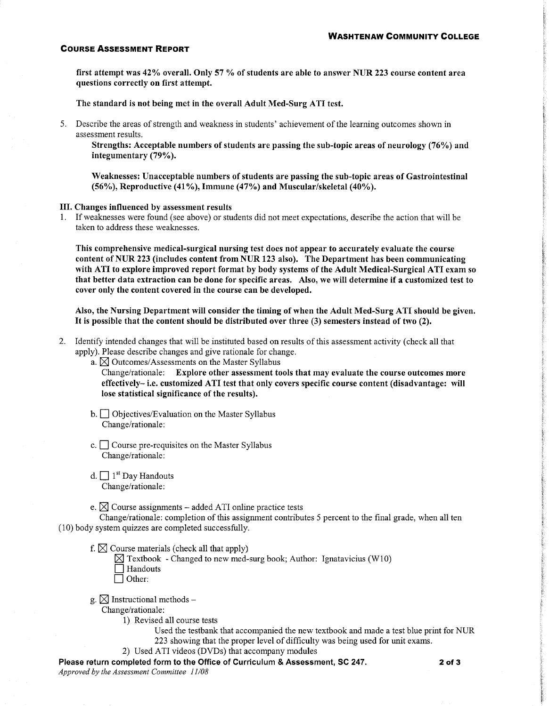#### **COURSE ASSESSMENT REPORT**

first attempt was 42% overall. Only 57 % of students are able to answer NUR 223 course content area questions correctly on first attempt.

The standard is not being met in the overall Adult Med-Surg ATI test.

5. Describe the areas of strength and weakness in students' achievement of the learning outcomes shown in assessment results.

Strengths: Acceptable numbers of students are passing the sub-topic areas of neurology (76%) and integumentary (79%).

Weaknesses: Unacceptable numbers of students are passing the sub-topic areas of Gastrointestinal (56%), Reproductive (41%), Immune (47%) and Muscular/skeletal (40%).

#### III. Changes influenced by assessment results

1. If weaknesses were found (see above) or students did not meet expectations, describe the action that will be taken to address these weaknesses.

This comprehensive medical-surgical nursing test does not appear to accurately evaluate the course content of NUR 223 (includes content from NUR 123 also). The Department has been communicating with ATI to explore improved report format by body systems of the Adult Medical-Surgical ATI exam so that better data extraction can be done for specific areas. Also, we will determine if a customized test to cover only the content covered in the course can be developed.

Also, the Nursing Department will consider the timing of when the Adult Med-Surg ATI should be given. It is possible that the content should be distributed over three (3) semesters instead of two (2).

- 2. Identify intended changes that will be instituted based on results of this assessment activity (check all that apply). Please describe changes and give rationale for change.
	- a.  $\boxtimes$  Outcomes/Assessments on the Master Syllabus

Change/rationale: Explore other assessment tools that may evaluate the course outcomes more effectively-i.e. customized ATI test that only covers specific course content (disadvantage: will lose statistical significance of the results).

- $\mathbf{b}$ .  $\Box$  Objectives/Evaluation on the Master Syllabus Change/rationale:
- c.  $\Box$  Course pre-requisites on the Master Syllabus Change/rationale:
- d.  $\Box$  1<sup>st</sup> Day Handouts Change/rationale:
- e.  $\boxtimes$  Course assignments added ATI online practice tests

Change/rationale: completion of this assignment contributes 5 percent to the final grade, when all ten (10) body system quizzes are completed successfully.

- f.  $\boxtimes$  Course materials (check all that apply)
	- $\boxtimes$  Textbook Changed to new med-surg book; Author: Ignatavicius (W10)
	- Handouts  $\Box$  Other:
- g.  $\boxtimes$  Instructional methods –

Change/rationale:

1) Revised all course tests

Used the testbank that accompanied the new textbook and made a test blue print for NUR 223 showing that the proper level of difficulty was being used for unit exams.

2) Used ATI videos (DVDs) that accompany modules

Please return completed form to the Office of Curriculum & Assessment, SC 247. Approved by the Assessment Committee 11/08